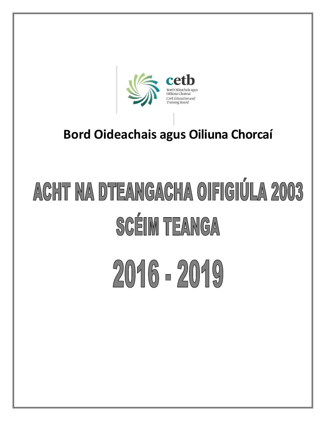

## **Bord Oideachais agus Oiliuna Chorcaí**

## ACHT NA DTEANGACHA OIFIGIÚLA 2003 **SCÉIM TEANGA**

# 2016 - 2019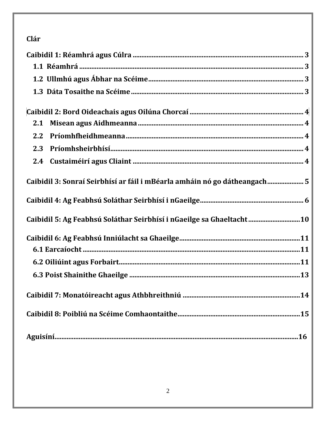## Clár

| 2.1                                                                       |
|---------------------------------------------------------------------------|
| 2.2                                                                       |
| 2.3                                                                       |
| 2.4                                                                       |
| Caibidil 3: Sonraí Seirbhísí ar fáil i mBéarla amháin nó go dátheangach 5 |
|                                                                           |
| Caibidil 5: Ag Feabhsú Soláthar Seirbhísí i nGaeilge sa Ghaeltacht10      |
|                                                                           |
|                                                                           |
|                                                                           |
|                                                                           |
|                                                                           |
|                                                                           |
|                                                                           |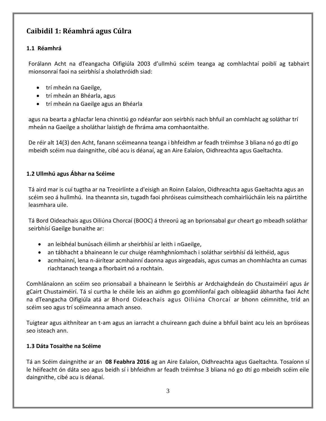## <span id="page-2-0"></span>**Caibidil 1: Réamhrá agus Cúlra**

#### <span id="page-2-1"></span>**1.1 Réamhrá**

Forálann Acht na dTeangacha Oifigiúla 2003 d'ullmhú scéim teanga ag comhlachtaí poiblí ag tabhairt mionsonraí faoi na seirbhísí a sholathróidh siad:

- trí mheán na Gaeilge,
- trí mheán an Bhéarla, agus
- trí mheán na Gaeilge agus an Bhéarla

agus na bearta a ghlacfar lena chinntiú go ndéanfar aon seirbhís nach bhfuil an comhlacht ag soláthar trí mheán na Gaeilge a sholáthar laistigh de fhráma ama comhaontaithe.

De réir alt 14(3) den Acht, fanann scéimeanna teanga i bhfeidhm ar feadh tréimhse 3 bliana nó go dtí go mbeidh scéim nua daingnithe, cibé acu is déanaí, ag an Aire Ealaíon, Oidhreachta agus Gaeltachta.

#### <span id="page-2-2"></span>**1.2 Ullmhú agus Ábhar na Scéime**

Tá aird mar is cuí tugtha ar na Treoirlínte a d'eisigh an Roinn Ealaíon, Oidhreachta agus Gaeltachta agus an scéim seo á hullmhú. Ina theannta sin, tugadh faoi phróiseas cuimsitheach comhairliúcháin leis na páirtithe leasmhara uile.

Tá Bord Oideachais agus Oiliúna Chorcaí (BOOC) á threorú ag an bprionsabal gur cheart go mbeadh soláthar seirbhísí Gaeilge bunaithe ar:

- an leibhéal bunúsach éilimh ar sheirbhísí ar leith i nGaeilge,
- an tábhacht a bhaineann le cur chuige réamhghníomhach i soláthar seirbhísí dá leithéid, agus
- acmhainní, lena n-áirítear acmhainní daonna agus airgeadais, agus cumas an chomhlachta an cumas riachtanach teanga a fhorbairt nó a rochtain.

Comhlánaíonn an scéim seo prionsabail a bhaineann le Seirbhís ar Ardchaighdeán do Chustaiméirí agus ár gCairt Chustaiméirí. Tá sí curtha le chéile leis an aidhm go gcomhlíonfaí gach oibleagáid ábhartha faoi Acht na dTeangacha Oifigiúla atá ar Bhord Oideachais agus Oiliúna Chorcaí ar bhonn céimnithe, tríd an scéim seo agus trí scéimeanna amach anseo.

Tuigtear agus aithnítear an t-am agus an iarracht a chuireann gach duine a bhfuil baint acu leis an bpróiseas seo isteach ann.

#### <span id="page-2-3"></span>**1.3 Dáta Tosaithe na Scéime**

<span id="page-2-4"></span>Tá an Scéim daingnithe ar an **08 Feabhra 2016** ag an Aire Ealaíon, Oidhreachta agus Gaeltachta. Tosaíonn sí le héifeacht ón dáta seo agus beidh sí i bhfeidhm ar feadh tréimhse 3 bliana nó go dtí go mbeidh scéim eile daingnithe, cibé acu is déanaí.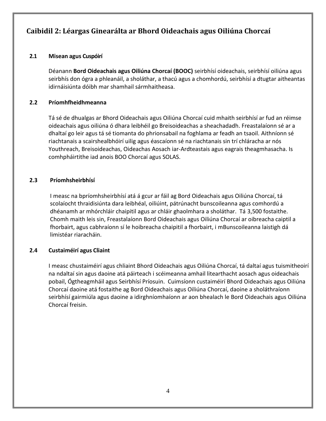### **Caibidil 2: Léargas Ginearálta ar Bhord Oideachais agus Oiliúna Chorcaí**

#### <span id="page-3-0"></span>**2.1 Misean agus Cuspóirí**

Déanann **Bord Oideachais agus Oiliúna Chorcaí (BOOC)** seirbhísí oideachais, seirbhísí oiliúna agus seirbhís don ógra a phleanáil, a sholáthar, a thacú agus a chomhordú, seirbhísí a dtugtar aitheantas idirnáisiúnta dóibh mar shamhail sármhaitheasa.

#### **2.2 Príomhfheidhmeanna**

Tá sé de dhualgas ar Bhord Oideachais agus Oiliúna Chorcaí cuid mhaith seirbhísí ar fud an réimse oideachais agus oiliúna ó dhara leibhéil go Breisoideachas a sheachadadh. Freastalaíonn sé ar a dhaltaí go leir agus tá sé tiomanta do phrionsabail na foghlama ar feadh an tsaoil. Aithníonn sé riachtanais a scairshealbhóirí uilig agus éascaíonn sé na riachtanais sin trí chláracha ar nós Youthreach, Breisoideachas, Oideachas Aosach iar-Ardteastais agus eagrais theagmhasacha. Is comhpháirtithe iad anois BOO Chorcaí agus SOLAS.

#### **2.3 Príomhsheirbhísí**

I measc na bpríomhsheirbhísí atá á gcur ar fáil ag Bord Oideachais agus Oiliúna Chorcaí, tá scolaíocht thraidisiúnta dara leibhéal, oiliúint, pátrúnacht bunscoileanna agus comhordú a dhéanamh ar mhórchláir chaipitil agus ar chláir ghaolmhara a sholáthar. Tá 3,500 fostaithe. Chomh maith leis sin, Freastalaíonn Bord Oideachais agus Oiliúna Chorcaí ar oibreacha caiptil a fhorbairt, agus cabhraíonn sí le hoibreacha chaipitil a fhorbairt, i mBunscoileanna laistigh dá limistéar riaracháin.

#### **2.4 Custaiméirí agus Cliaint**

I measc chustaiméirí agus chliaint Bhord Oideachais agus Oiliúna Chorcaí, tá daltaí agus tuismitheoirí na ndaltaí sin agus daoine atá páirteach i scéimeanna amhail litearthacht aosach agus oideachais pobail, Ógtheagmháil agus Seirbhísí Príosuin. Cuimsíonn custaiméirí Bhord Oideachais agus Oiliúna Chorcaí daoine atá fostaithe ag Bord Oideachais agus Oiliúna Chorcaí, daoine a sholáthraíonn seirbhísí gairmiúla agus daoine a idirghníomhaíonn ar aon bhealach le Bord Oideachais agus Oiliúna Chorcaí freisin.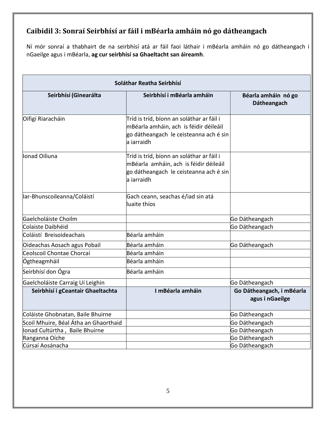## **Caibidil 3: Sonraí Seirbhísí ar fáil i mBéarla amháin nó go dátheangach**

Ní mór sonraí a thabhairt de na seirbhísí atá ar fáil faoi láthair i mBéarla amháin nó go dátheangach i nGaeilge agus i mBéarla, **ag cur seirbhísí sa Ghaeltacht san áireamh**.

| Soláthar Reatha Seirbhísí             |                                                                                                                                             |                                              |  |  |
|---------------------------------------|---------------------------------------------------------------------------------------------------------------------------------------------|----------------------------------------------|--|--|
| Seirbhísí (Ginearálta                 | Seirbhísí i mBéarla amháin                                                                                                                  | Béarla amháin nó go<br>Dátheangach           |  |  |
| Oifigí Riaracháin                     | Tríd is tríd, bíonn an soláthar ar fáil i<br>mBéarla amháin, ach is féidir déileáil<br>go dátheangach le ceisteanna ach é sin<br>a iarraidh |                                              |  |  |
| lonad Oiliuna                         | Tríd is tríd, bíonn an soláthar ar fáil i<br>mBéarla amháin, ach is féidir déileáil<br>go dátheangach le ceisteanna ach é sin<br>a iarraidh |                                              |  |  |
| lar-Bhunscoileanna/Coláistí           | Gach ceann, seachas é/iad sin atá<br>luaite thíos                                                                                           |                                              |  |  |
| Gaelcholáiste Choilm                  |                                                                                                                                             | Go Dátheangach                               |  |  |
| Colaiste Daibhéid                     |                                                                                                                                             | Go Dátheangach                               |  |  |
| Coláistí Breisoideachais              | Béarla amháin                                                                                                                               |                                              |  |  |
| Oideachas Aosach agus Pobail          | Béarla amháin                                                                                                                               | Go Dátheangach                               |  |  |
| Ceolscoil Chontae Chorcaí             | Béarla amháin                                                                                                                               |                                              |  |  |
| Ógtheagmháil                          | Béarla amháin                                                                                                                               |                                              |  |  |
| Seirbhísí don Ógra                    | Béarla amháin                                                                                                                               |                                              |  |  |
| Gaelcholáiste Carraig Uí Leighin      |                                                                                                                                             | Go Dátheangach                               |  |  |
| Seirbhísí i gCeantair Ghaeltachta     | I mBéarla amháin                                                                                                                            | Go Dátheangach, i mBéarla<br>agus i nGaeilge |  |  |
| Coláiste Ghobnatan, Baile Bhuirne     |                                                                                                                                             | Go Dátheangach                               |  |  |
| Scoil Mhuire, Béal Átha an Ghaorthaid |                                                                                                                                             | Go Dátheangach                               |  |  |
| Ionad Cultúrtha, Baile Bhuirne        |                                                                                                                                             | Go Dátheangach                               |  |  |
| Ranganna Oíche                        |                                                                                                                                             | Go Dátheangach                               |  |  |
| Cúrsaí Aosánacha                      |                                                                                                                                             | Go Dátheangach                               |  |  |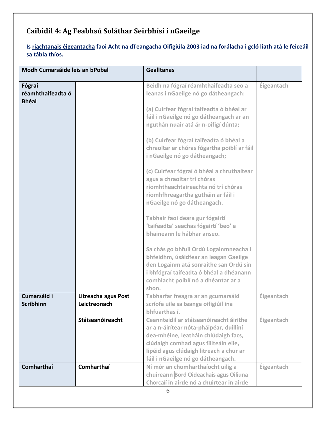## <span id="page-5-0"></span>**Caibidil 4: Ag Feabhsú Soláthar Seirbhísí i nGaeilge**

**Is riachtanais éigeantacha faoi Acht na dTeangacha Oifigiúla 2003 iad na forálacha i gcló liath atá le feiceáil sa tábla thíos.**

| Modh Cumarsáide leis an bPobal              |                                     | <b>Gealltanas</b>                                                                                                                                                                                                                                                                                                                                                                                                                                                                                                                                                                                                                                                                                                                                                                                                                                        |                   |
|---------------------------------------------|-------------------------------------|----------------------------------------------------------------------------------------------------------------------------------------------------------------------------------------------------------------------------------------------------------------------------------------------------------------------------------------------------------------------------------------------------------------------------------------------------------------------------------------------------------------------------------------------------------------------------------------------------------------------------------------------------------------------------------------------------------------------------------------------------------------------------------------------------------------------------------------------------------|-------------------|
| Fógraí<br>réamhthaifeadta ó<br><b>Bhéal</b> |                                     | Beidh na fógraí réamhthaifeadta seo a<br>leanas i nGaeilge nó go dátheangach:<br>(a) Cuirfear fógraí taifeadta ó bhéal ar<br>fáil i nGaeilge nó go dátheangach ar an<br>nguthán nuair atá ár n-oifigí dúnta;<br>(b) Cuirfear fógraí taifeadta ó bhéal a<br>chraoltar ar chóras fógartha poiblí ar fáil<br>i nGaeilge nó go dátheangach;<br>(c) Cuirfear fógraí ó bhéal a chruthaítear<br>agus a chraoltar trí chóras<br>ríomhtheachtaireachta nó trí chóras<br>ríomhfhreagartha gutháin ar fáil i<br>nGaeilge nó go dátheangach.<br>Tabhair faoi deara gur fógairtí<br>'taifeadta' seachas fógairtí 'beo' a<br>bhaineann le hábhar anseo.<br>Sa chás go bhfuil Ordú Logainmneacha i<br>bhfeidhm, úsáidfear an leagan Gaeilge<br>den Logainm atá sonraithe san Ordú sin<br>i bhfógraí taifeadta ó bhéal a dhéanann<br>comhlacht poiblí nó a dhéantar ar a | Éigeantach        |
| Cumarsáid i<br><b>Scríbhinn</b>             | Litreacha agus Post<br>Leictreonach | shon.<br>Tabharfar freagra ar an gcumarsáid<br>scríofa uile sa teanga oifigiúil ina<br>bhfuarthas í.                                                                                                                                                                                                                                                                                                                                                                                                                                                                                                                                                                                                                                                                                                                                                     | Éigeantach        |
|                                             | Stáiseanóireacht                    | Ceannteidil ar stáiseanóireacht áirithe<br>ar a n-áirítear nóta-pháipéar, duillíní<br>dea-mhéine, leatháin chlúdaigh facs,<br>clúdaigh comhad agus fillteáin eile,<br>lipéid agus clúdaigh litreach a chur ar<br>fáil i nGaeilge nó go dátheangach.                                                                                                                                                                                                                                                                                                                                                                                                                                                                                                                                                                                                      | <b>Éigeantach</b> |
| Comharthaí                                  | Comharthaí                          | Ní mór an chomharthaíocht uilig a<br>chuireann Bord Oideachais agus Oiliuna<br>Chorcaí in airde nó a chuirtear in airde<br>6                                                                                                                                                                                                                                                                                                                                                                                                                                                                                                                                                                                                                                                                                                                             | Éigeantach        |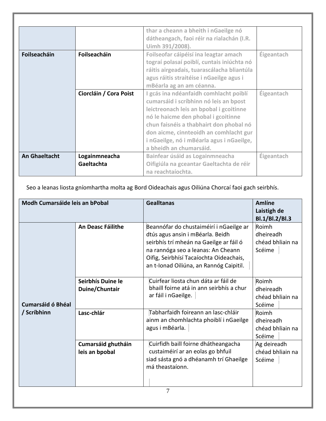|               |                             | thar a cheann a bheith i nGaeilge nó<br>dátheangach, faoi réir na rialachán (I.R.<br>Uimh 391/2008).                                                                                                                                                                                                                          |            |
|---------------|-----------------------------|-------------------------------------------------------------------------------------------------------------------------------------------------------------------------------------------------------------------------------------------------------------------------------------------------------------------------------|------------|
| Foilseacháin  | Foilseacháin                | Foilseofar cáipéisí ina leagtar amach<br>tograí polasaí poiblí, cuntais iniúchta nó<br>ráitis airgeadais, tuarascálacha bliantúla<br>agus ráitis straitéise i nGaeilge agus i<br>mBéarla ag an am céanna.                                                                                                                     | Éigeantach |
|               | Ciorcláin / Cora Poist      | gcás ina ndéanfaidh comhlacht poiblí<br>cumarsáid i scríbhinn nó leis an bpost<br>leictreonach leis an bpobal i gcoitinne<br>nó le haicme den phobal i gcoitinne<br>chun faisnéis a thabhairt don phobal nó<br>don aicme, cinnteoidh an comhlacht gur<br>i nGaeilge, nó i mBéarla agus i nGaeilge,<br>a bheidh an chumarsáid. | Éigeantach |
| An Ghaeltacht | Logainmneacha<br>Gaeltachta | Bainfear úsáid as Logainmneacha<br>Oifigiúla na gceantar Gaeltachta de réir<br>na reachtaíochta.                                                                                                                                                                                                                              | Éigeantach |

Seo a leanas liosta gníomhartha molta ag Bord Oideachais agus Oiliúna Chorcaí faoi gach seirbhís.

| Modh Cumarsáide leis an bPobal          |                                      | <b>Gealltanas</b>                                                                                                                                                                                                                                  | <b>Amlíne</b><br>Laistigh de<br>Bl.1/Bl.2/Bl.3   |
|-----------------------------------------|--------------------------------------|----------------------------------------------------------------------------------------------------------------------------------------------------------------------------------------------------------------------------------------------------|--------------------------------------------------|
| <b>Cumarsáid ó Bhéal</b><br>/ Scríbhinn | <b>An Deasc Fáilithe</b>             | Beannófar do chustaiméirí i nGaeilge ar<br>dtús agus ansin i mBéarla. Beidh<br>seirbhís trí mheán na Gaeilge ar fáil ó<br>na rannóga seo a leanas: An Cheann<br>Oifig, Seirbhísí Tacaíochta Oideachais,<br>an t-Ionad Oiliúna, an Rannóg Caipitil. | Roimh<br>dheireadh<br>chéad bhliain na<br>Scéime |
|                                         | Seirbhís Duine le<br>Duine/Chuntair  | Cuirfear liosta chun dáta ar fáil de<br>bhaill foirne atá in ann seirbhís a chur<br>ar fáil i nGaeilge.                                                                                                                                            | Roimh<br>dheireadh<br>chéad bhliain na<br>Scéime |
|                                         | Lasc-chlár                           | Tabharfaidh foireann an lasc-chláir<br>ainm an chomhlachta phoiblí i nGaeilge<br>agus i mBéarla.                                                                                                                                                   | Roimh<br>dheireadh<br>chéad bhliain na<br>Scéime |
|                                         | Cumarsáid ghutháin<br>leis an bpobal | Cuirfidh baill foirne dhátheangacha<br>custaiméirí ar an eolas go bhfuil<br>siad sásta gnó a dhéanamh trí Ghaeilge<br>má theastaíonn.<br>7                                                                                                         | Ag deireadh<br>chéad bhliain na<br>Scéime        |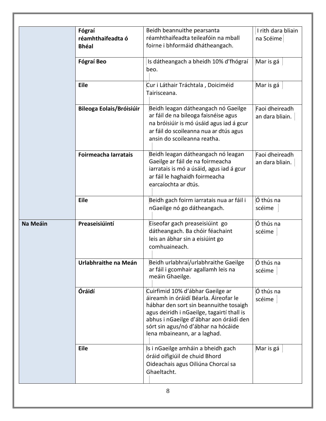|          | Fógraí                          | Beidh beannuithe pearsanta                                                                                                                                                                                                                                                          | I rith dara bliain                |
|----------|---------------------------------|-------------------------------------------------------------------------------------------------------------------------------------------------------------------------------------------------------------------------------------------------------------------------------------|-----------------------------------|
|          | réamhthaifeadta ó               | réamhthaifeadta teileafóin na mball                                                                                                                                                                                                                                                 | na Scéime                         |
|          | <b>Bhéal</b>                    | foirne i bhformáid dhátheangach.                                                                                                                                                                                                                                                    |                                   |
|          | <b>Fógraí Beo</b>               | Is dátheangach a bheidh 10% d'fhógraí<br>beo.                                                                                                                                                                                                                                       | Mar is gá                         |
|          | <b>Eile</b>                     | Cur i Láthair Tráchtala, Doiciméid<br>Tairisceana.                                                                                                                                                                                                                                  | Mar is gá                         |
|          | <b>Bileoga Eolais/Bróisiúir</b> | Beidh leagan dátheangach nó Gaeilge<br>ar fáil de na bileoga faisnéise agus<br>na bróisiúir is mó úsáid agus iad á gcur<br>ar fáil do scoileanna nua ar dtús agus<br>ansin do scoileanna reatha.                                                                                    | Faoi dheireadh<br>an dara bliain. |
|          | Foirmeacha Iarratais            | Beidh leagan dátheangach nó leagan<br>Gaeilge ar fáil de na foirmeacha<br>iarratais is mó a úsáid, agus iad á gcur<br>ar fáil le haghaidh foirmeacha<br>earcaíochta ar dtús.                                                                                                        | Faoi dheireadh<br>an dara bliain. |
|          | <b>Eile</b>                     | Beidh gach foirm iarratais nua ar fáil i<br>nGaeilge nó go dátheangach.                                                                                                                                                                                                             | Ó thús na<br>scéime               |
| Na Meáin | Preaseisiúintí                  | Eiseofar gach preaseisiúint go<br>dátheangach. Ba chóir féachaint<br>leis an ábhar sin a eisiúint go<br>comhuaineach.                                                                                                                                                               | Ó thús na<br>scéime               |
|          | Urlabhraithe na Meán            | Beidh urlabhraí/urlabhraithe Gaeilge<br>ar fáil i gcomhair agallamh leis na<br>meáin Ghaeilge.                                                                                                                                                                                      | Ó thús na<br>scéime               |
|          | Óráidí                          | Cuirfimid 10% d'ábhar Gaeilge ar<br>áireamh in óráidí Béarla. Áireofar le<br>hábhar den sort sin beannuithe tosaigh<br>agus deiridh i nGaeilge, tagairtí thall is<br>abhus i nGaeilge d'ábhar aon óráidí den<br>sórt sin agus/nó d'ábhar na hócáide<br>lena mbaineann, ar a laghad. | Ó thús na<br>scéime               |
|          | Eile                            | Is i nGaeilge amháin a bheidh gach<br>óráid oifigiúil de chuid Bhord<br>Oideachais agus Oiliúna Chorcaí sa<br>Ghaeltacht.                                                                                                                                                           | Mar is gá                         |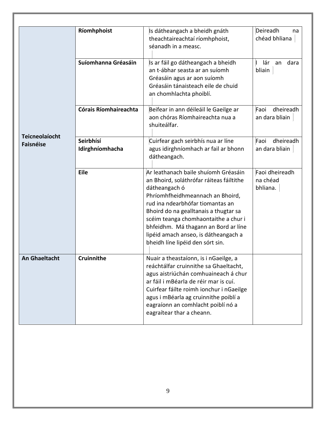<span id="page-8-0"></span>

|                                           | Ríomhphoist                  | Is dátheangach a bheidh gnáth<br>theachtaireachtaí ríomhphoist,<br>séanadh in a measc.                                                                                                                                                                                                                                                                                         | Deireadh<br>na<br>chéad bhliana        |
|-------------------------------------------|------------------------------|--------------------------------------------------------------------------------------------------------------------------------------------------------------------------------------------------------------------------------------------------------------------------------------------------------------------------------------------------------------------------------|----------------------------------------|
|                                           | Suíomhanna Gréasáin          | Is ar fáil go dátheangach a bheidh<br>an t-ábhar seasta ar an suíomh<br>Gréasáin agus ar aon suíomh<br>Gréasáin tánaisteach eile de chuid<br>an chomhlachta phoiblí.                                                                                                                                                                                                           | lár<br>dara<br>an<br>bliain            |
|                                           | Córais Ríomhaireachta        | Beifear in ann déileáil le Gaeilge ar<br>aon chóras Ríomhaireachta nua a<br>shuiteálfar.                                                                                                                                                                                                                                                                                       | Faoi<br>dheireadh<br>an dara bliain    |
| <b>Teicneolaíocht</b><br><b>Faisnéise</b> | Seirbhísí<br>Idirghníomhacha | Cuirfear gach seirbhís nua ar líne<br>agus idirghníomhach ar fail ar bhonn<br>dátheangach.                                                                                                                                                                                                                                                                                     | dheireadh<br>Faoi<br>an dara bliain    |
|                                           | <b>Eile</b>                  | Ar leathanach baile shuíomh Gréasáin<br>an Bhoird, soláthrófar ráiteas fáiltithe<br>dátheangach ó<br>Phríomhfheidhmeannach an Bhoird,<br>rud ina ndearbhófar tiomantas an<br>Bhoird do na gealltanais a thugtar sa<br>scéim teanga chomhaontaithe a chur i<br>bhfeidhm. Má thagann an Bord ar líne<br>lipéid amach anseo, is dátheangach a<br>bheidh líne lipéid den sórt sin. | Faoi dheireadh<br>na chéad<br>bhliana. |
| <b>An Ghaeltacht</b>                      | <b>Cruinnithe</b>            | Nuair a theastaíonn, is i nGaeilge, a<br>reáchtálfar cruinnithe sa Ghaeltacht,<br>agus aistriúchán comhuaineach á chur<br>ar fáil i mBéarla de réir mar is cuí.<br>Cuirfear fáilte roimh ionchur i nGaeilge<br>agus i mBéarla ag cruinnithe poiblí a<br>eagraíonn an comhlacht poiblí nó a<br>eagraítear thar a cheann.                                                        |                                        |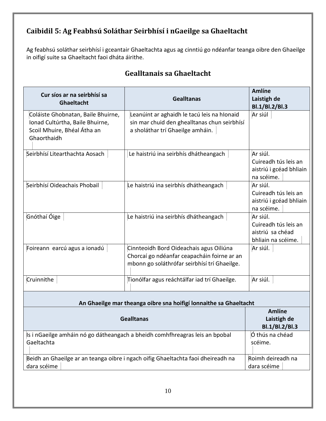## **Caibidil 5: Ag Feabhsú Soláthar Seirbhísí i nGaeilge sa Ghaeltacht**

Ag feabhsú soláthar seirbhísí i gceantair Ghaeltachta agus ag cinntiú go ndéanfar teanga oibre den Ghaeilge in oifigí suite sa Ghaeltacht faoi dháta áirithe.

| Cur síos ar na seirbhísí sa<br>Ghaeltacht                                                                           | <b>Gealltanas</b>                                                                                                                      | <b>Amlíne</b><br>Laistigh de<br>Bl.1/Bl.2/Bl.3                             |  |  |
|---------------------------------------------------------------------------------------------------------------------|----------------------------------------------------------------------------------------------------------------------------------------|----------------------------------------------------------------------------|--|--|
| Coláiste Ghobnatan, Baile Bhuirne,<br>Ionad Cultúrtha, Baile Bhuirne,<br>Scoil Mhuire, Bhéal Átha an<br>Ghaorthaidh | Leanúint ar aghaidh le tacú leis na hIonaid<br>sin mar chuid den ghealltanas chun seirbhísí<br>a sholáthar trí Ghaeilge amháin.        | Ar siúl                                                                    |  |  |
| Seirbhísí Litearthachta Aosach                                                                                      | Le haistriú ina seirbhís dhátheangach                                                                                                  | Ar siúl.<br>Cuireadh tús leis an<br>aistriú i gcéad bhliain<br>na scéime.  |  |  |
| Seirbhísí Oideachais Phobail                                                                                        | Le haistriú ina seirbhís dhátheangach                                                                                                  | Ar siúl.<br>Cuireadh tús leis an<br>aistriú i gcéad bhliain<br>na scéime.  |  |  |
| Gnóthaí Óige                                                                                                        | Le haistriú ina seirbhís dhátheangach                                                                                                  | Ar siúl.<br>Cuireadh tús leis an<br>aistriú sa chéad<br>bhliain na scéime. |  |  |
| Foireann earcú agus a ionadú                                                                                        | Cinnteoidh Bord Oideachais agus Oiliúna<br>Chorcaí go ndéanfar ceapacháin foirne ar an<br>mbonn go soláthrófar seirbhísí trí Ghaeilge. | Ar siúl.                                                                   |  |  |
| Cruinnithe                                                                                                          | Tionólfar agus reáchtálfar iad trí Ghaeilge.                                                                                           | Ar siúl.                                                                   |  |  |
| An Ghaeilge mar theanga oibre sna hoifigí lonnaithe sa Ghaeltacht                                                   |                                                                                                                                        |                                                                            |  |  |
| <b>Gealltanas</b>                                                                                                   | <b>Amlíne</b><br>Laistigh de<br>Bl.1/Bl.2/Bl.3                                                                                         |                                                                            |  |  |
| Gaeltachta                                                                                                          | Is i nGaeilge amháin nó go dátheangach a bheidh comhfhreagras leis an bpobal                                                           | Ó thús na chéad<br>scéime.                                                 |  |  |
| dara scéime                                                                                                         | Beidh an Ghaeilge ar an teanga oibre i ngach oifig Ghaeltachta faoi dheireadh na                                                       | Roimh deireadh na<br>dara scéime                                           |  |  |

## **Gealltanais sa Ghaeltacht**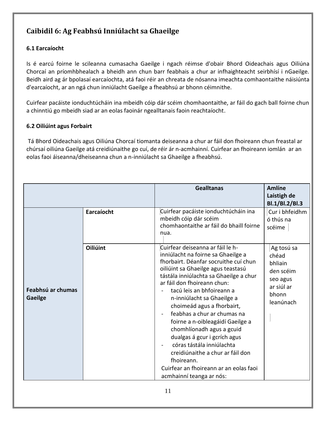## <span id="page-10-0"></span>**Caibidil 6: Ag Feabhsú Inniúlacht sa Ghaeilge**

#### <span id="page-10-1"></span>**6.1 Earcaíocht**

Is é earcú foirne le scileanna cumasacha Gaeilge i ngach réimse d'obair Bhord Oideachais agus Oiliúna Chorcaí an príomhbhealach a bheidh ann chun barr feabhais a chur ar infhaighteacht seirbhísí i nGaeilge. Beidh aird ag ár bpolasaí earcaíochta, atá faoi réir an chreata de nósanna imeachta comhaontaithe náisiúnta d'earcaíocht, ar an ngá chun inniúlacht Gaeilge a fheabhsú ar bhonn céimnithe.

Cuirfear pacáiste ionduchtúcháin ina mbeidh cóip dár scéim chomhaontaithe, ar fáil do gach ball foirne chun a chinntiú go mbeidh siad ar an eolas faoinár ngealltanais faoin reachtaíocht.

#### <span id="page-10-2"></span>**6.2 Oiliúint agus Forbairt**

Tá Bhord Oideachais agus Oiliúna Chorcaí tiomanta deiseanna a chur ar fáil don fhoireann chun freastal ar chúrsaí oiliúna Gaeilge atá creidiúnaithe go cuí, de réir ár n-acmhainní. Cuirfear an fhoireann iomlán ar an eolas faoi áiseanna/dheiseanna chun a n-inniúlacht sa Ghaeilge a fheabhsú.

|                                     |                 | <b>Gealltanas</b>                                                                                                                                                                                                                                                                                                                                                                                                                                                                                                                                                                                            | <b>Amlíne</b><br>Laistigh de<br>Bl.1/Bl.2/Bl.3                                              |
|-------------------------------------|-----------------|--------------------------------------------------------------------------------------------------------------------------------------------------------------------------------------------------------------------------------------------------------------------------------------------------------------------------------------------------------------------------------------------------------------------------------------------------------------------------------------------------------------------------------------------------------------------------------------------------------------|---------------------------------------------------------------------------------------------|
|                                     | Earcaíocht      | Cuirfear pacáiste ionduchtúcháin ina<br>mbeidh cóip dár scéim<br>chomhaontaithe ar fáil do bhaill foirne<br>nua.                                                                                                                                                                                                                                                                                                                                                                                                                                                                                             | Cur i bhfeidhm<br>ó thús na<br>scéime                                                       |
| Feabhsú ar chumas<br><b>Gaeilge</b> | <b>Oiliúint</b> | Cuirfear deiseanna ar fáil le h-<br>inniúlacht na foirne sa Ghaeilge a<br>fhorbairt. Déanfar socruithe cuí chun<br>oiliúint sa Ghaeilge agus teastasú<br>tástála inniúlachta sa Ghaeilge a chur<br>ar fáil don fhoireann chun:<br>tacú leis an bhfoireann a<br>n-inniúlacht sa Ghaeilge a<br>choimeád agus a fhorbairt,<br>feabhas a chur ar chumas na<br>foirne a n-oibleagáidí Gaeilge a<br>chomhlíonadh agus a gcuid<br>dualgas á gcur i gcrích agus<br>córas tástála inniúlachta<br>creidiúnaithe a chur ar fáil don<br>fhoireann.<br>Cuirfear an fhoireann ar an eolas faoi<br>acmhainní teanga ar nós: | Ag tosú sa<br>chéad<br>bhliain<br>den scéim<br>seo agus<br>ar siúl ar<br>bhonn<br>leanúnach |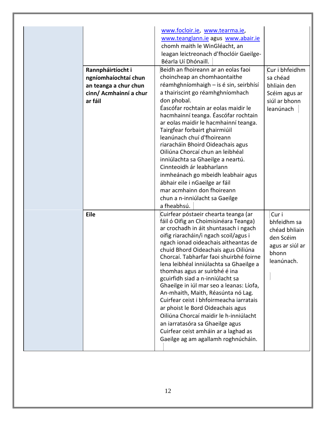<span id="page-11-0"></span>

| Rannpháirtíocht i<br>ngníomhaíochtaí chun<br>an teanga a chur chun<br>cinn/ Acmhainní a chur<br>ar fáil | www.focloir.ie, www.tearma.ie,<br>www.teanglann.ie agus www.abair.ie<br>chomh maith le WinGléacht, an<br>leagan leictreonach d'fhoclóir Gaeilge-<br>Béarla Uí Dhónaill.<br>Beidh an fhoireann ar an eolas faoi<br>choincheap an chomhaontaithe<br>réamhghníomhaigh - is é sin, seirbhísí<br>a thairiscint go réamhghníomhach<br>don phobal.<br>Éascófar rochtain ar eolas maidir le<br>hacmhainní teanga. Éascófar rochtain<br>ar eolas maidir le hacmhainní teanga.<br>Tairgfear forbairt ghairmiúil<br>leanúnach chuí d'fhoireann<br>riaracháin Bhoird Oideachais agus<br>Oiliúna Chorcaí chun an leibhéal<br>inniúlachta sa Ghaeilge a neartú.<br>Cinnteoidh ár leabharlann<br>inmheánach go mbeidh leabhair agus<br>ábhair eile i nGaeilge ar fáil<br>mar acmhainn don fhoireann<br>chun a n-inniúlacht sa Gaeilge | Cur i bhfeidhm<br>sa chéad<br>bhliain den<br>Scéim agus ar<br>siúl ar bhonn<br>leanúnach     |
|---------------------------------------------------------------------------------------------------------|------------------------------------------------------------------------------------------------------------------------------------------------------------------------------------------------------------------------------------------------------------------------------------------------------------------------------------------------------------------------------------------------------------------------------------------------------------------------------------------------------------------------------------------------------------------------------------------------------------------------------------------------------------------------------------------------------------------------------------------------------------------------------------------------------------------------|----------------------------------------------------------------------------------------------|
| Eile                                                                                                    | a fheabhsú.<br>Cuirfear póstaeir chearta teanga (ar<br>fáil ó Oifig an Choimisinéara Teanga)<br>ar crochadh in áit shuntasach i ngach<br>oifig riaracháin/i ngach scoil/agus i<br>ngach ionad oideachais aitheantas de<br>chuid Bhord Oideachais agus Oiliúna<br>Chorcaí. Tabharfar faoi shuirbhé foirne<br>lena leibhéal inniúlachta sa Ghaeilge a<br>thomhas agus ar suirbhé é ina<br>gcuirfidh siad a n-inniúlacht sa<br>Ghaeilge in iúl mar seo a leanas: Líofa,<br>An-mhaith, Maith, Réasúnta nó Lag.<br>Cuirfear ceist i bhfoirmeacha iarratais<br>ar phoist le Bord Oideachais agus<br>Oiliúna Chorcaí maidir le h-inniúlacht<br>an iarratasóra sa Ghaeilge agus<br>Cuirfear ceist amháin ar a laghad as<br>Gaeilge ag am agallamh roghnúcháin.                                                                 | Cur i<br>bhfeidhm sa<br>chéad bhliain<br>den Scéim<br>agus ar siúl ar<br>bhonn<br>leanúnach. |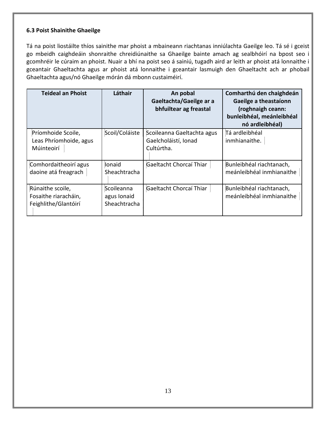#### **6.3 Poist Shainithe Ghaeilge**

Tá na poist liostáilte thíos sainithe mar phoist a mbaineann riachtanas inniúlachta Gaeilge leo. Tá sé i gceist go mbeidh caighdeáin shonraithe chreidiúnaithe sa Ghaeilge bainte amach ag sealbhóirí na bpost seo i gcomhréir le cúraim an phoist. Nuair a bhí na poist seo á sainiú, tugadh aird ar leith ar phoist atá lonnaithe i gceantair Ghaeltachta agus ar phoist atá lonnaithe i gceantair lasmuigh den Ghaeltacht ach ar phobail Ghaeltachta agus/nó Ghaeilge mórán dá mbonn custaiméirí.

| <b>Teideal an Phoist</b>                                         | Láthair                                   | An pobal<br>Gaeltachta/Gaeilge ar a<br>bhfuiltear ag freastal    | Comharthú den chaighdeán<br>Gaeilge a theastaíonn<br>(roghnaigh ceann:<br>bunleibhéal, meánleibhéal<br>nó ardleibhéal) |
|------------------------------------------------------------------|-------------------------------------------|------------------------------------------------------------------|------------------------------------------------------------------------------------------------------------------------|
| Príomhoide Scoile,<br>Leas Phríomhoide, agus<br>Múinteoirí       | Scoil/Coláiste                            | Scoileanna Gaeltachta agus<br>Gaelcholáistí, Ionad<br>Cultúrtha. | Tá ardleibhéal<br>inmhianaithe.                                                                                        |
| Comhordaitheoirí agus<br>daoine atá freagrach                    | Ionaid<br>Sheachtracha                    | Gaeltacht Chorcaí Thiar                                          | Bunleibhéal riachtanach,<br>meánleibhéal inmhianaithe                                                                  |
| Rúnaithe scoile,<br>Fosaithe riaracháin,<br>Feighlithe/Glantóirí | Scoileanna<br>agus Ionaid<br>Sheachtracha | Gaeltacht Chorcaí Thiar                                          | Bunleibhéal riachtanach,<br>meánleibhéal inmhianaithe                                                                  |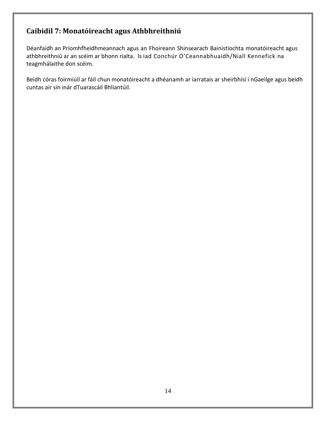## <span id="page-13-0"></span>**Caibidil 7: Monatóireacht agus Athbhreithniú**

Déanfaidh an Príomhfheidhmeannach agus an Fhoireann Shinsearach Bainistíochta monatóireacht agus athbhreithniú ar an scéim ar bhonn rialta. Is iad Conchúr O'Ceannabhuaidh/Niall Kennefick na teagmhálaithe don scéim.

<span id="page-13-1"></span>Beidh córas foirmiúil ar fáil chun monatóireacht a dhéanamh ar iarratais ar sheirbhísí i nGaeilge agus beidh cuntas air sin inár dTuarascáil Bhliantúil.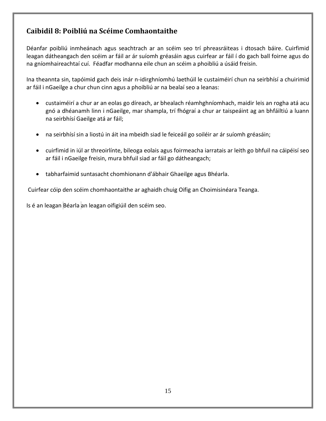### **Caibidil 8: Poibliú na Scéime Comhaontaithe**

Déanfar poibliú inmheánach agus seachtrach ar an scéim seo trí phreasráiteas i dtosach báire. Cuirfimid leagan dátheangach den scéim ar fáil ar ár suíomh gréasáin agus cuirfear ar fáil í do gach ball foirne agus do na gníomhaireachtaí cuí. Féadfar modhanna eile chun an scéim a phoibliú a úsáid freisin.

Ina theannta sin, tapóimid gach deis inár n-idirghníomhú laethúil le custaiméirí chun na seirbhísí a chuirimid ar fáil i nGaeilge a chur chun cinn agus a phoibliú ar na bealaí seo a leanas:

- custaiméirí a chur ar an eolas go díreach, ar bhealach réamhghníomhach, maidir leis an rogha atá acu gnó a dhéanamh linn i nGaeilge, mar shampla, trí fhógraí a chur ar taispeáint ag an bhfáiltiú a luann na seirbhísí Gaeilge atá ar fáil;
- na seirbhísí sin a liostú in áit ina mbeidh siad le feiceáil go soiléir ar ár suíomh gréasáin;
- cuirfimid in iúl ar threoirlínte, bileoga eolais agus foirmeacha iarratais ar leith go bhfuil na cáipéisí seo ar fáil i nGaeilge freisin, mura bhfuil siad ar fáil go dátheangach;
- tabharfaimid suntasacht chomhionann d'ábhair Ghaeilge agus Bhéarla.

Cuirfear cóip den scéim chomhaontaithe ar aghaidh chuig Oifig an Choimisinéara Teanga.

Is é an leagan Béarla an leagan oifigiúil den scéim seo.